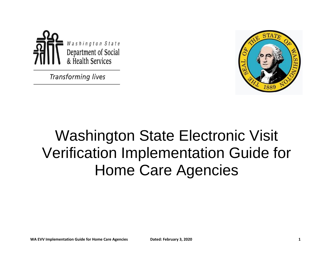

**Transforming lives** 



# Washington State Electronic Visit Verification Implementation Guide for Home Care Agencies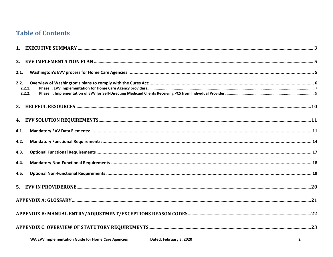# **Table of Contents**

| 2.1.                     |  |
|--------------------------|--|
| 2.2.<br>2.2.1.<br>2.2.2. |  |
|                          |  |
|                          |  |
| 4.1.                     |  |
| 4.2.                     |  |
| 4.3.                     |  |
| 4.4.                     |  |
| 4.5.                     |  |
|                          |  |
|                          |  |
|                          |  |
|                          |  |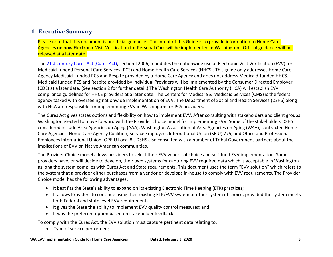## <span id="page-2-0"></span>**1. Executive Summary**

Please note that this document is unofficial guidance. The intent of this Guide is to provide information to Home Care Agencies on how Electronic Visit Verification for Personal Care will be implemented in Washington. Official guidance will be released at a later date.

The [21st Century Cures Act \(Cures Act\),](https://www.congress.gov/bill/114th-congress/house-bill/34/text) section 12006, mandates the nationwide use of Electronic Visit Verification (EVV) for Medicaid-funded Personal Care Services (PCS) and Home Health Care Services (HHCS). This guide only addresses Home Care Agency Medicaid–funded PCS and Respite provided by a Home Care Agency and does not address Medicaid-funded HHCS. Medicaid funded PCS and Respite provided by Individual Providers will be implemented by the Consumer Directed Employer (CDE) at a later date. (See section 2 for further detail.) The Washington Health Care Authority (HCA) will establish EVV compliance guidelines for HHCS providers at a later date. The Centers for Medicare & Medicaid Services (CMS) is the federal agency tasked with overseeing nationwide implementation of EVV. The Department of Social and Health Services (DSHS) along with HCA are responsible for implementing EVV in Washington for PCS providers.

The Cures Act gives states options and flexibility on how to implement EVV. After consulting with stakeholders and client groups Washington elected to move forward with the Provider Choice model for implementing EVV. Some of the stakeholders DSHS considered include Area Agencies on Aging (AAA), Washington Association of Area Agencies on Aging (W4A), contracted Home Care Agencies, Home Care Agency Coalition, Service Employees International Union (SEIU) 775, and Office and Professional Employees International Union (OPEIU Local 8). DSHS also consulted with a number of Tribal Government partners about the implications of EVV on Native American communities.

The Provider Choice model allows providers to select their EVV vendor of choice and self-fund EVV implementation. Some providers have, or will decide to develop, their own systems for capturing EVV required data which is acceptable in Washington as long the system complies with Cures Act and State requirements. This document uses the term "EVV solution" which refers to the system that a provider either purchases from a vendor or develops in-house to comply with EVV requirements. The Provider Choice model has the following advantages:

- It best fits the State's ability to expand on its existing Electronic Time Keeping (ETK) practices;
- It allows Providers to continue using their existing ETK/EVV system or other system of choice, provided the system meets both Federal and state level EVV requirements;
- It gives the State the ability to implement EVV quality control measures; and
- $\bullet$  It was the preferred option based on stakeholder feedback.

To comply with the Cures Act, the EVV solution must capture pertinent data relating to:

• Type of service performed;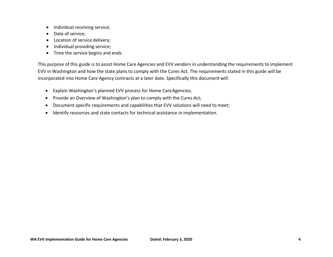- Individual receiving service;
- Date of service;
- Location of service delivery;
- Individual providing service;
- Time the service begins and ends.

This purpose of this guide is to assist Home Care Agencies and EVV vendors in understanding the requirements to implement EVV in Washington and how the state plans to comply with the Cures Act. The requirements stated in this guide will be incorporated into Home Care Agency contracts at a later date. Specifically this document will:

- Explain Washington's planned EVV process for Home CareAgencies;
- Provide an Overview of Washington's plan to comply with the Cures Act;
- Document specific requirements and capabilities that EVV solutions will need to meet;
- Identify resources and state contacts for technical assistance in implementation.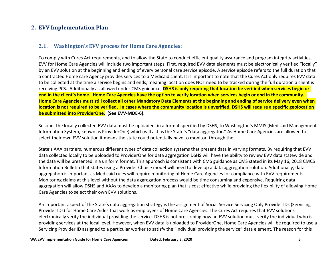## <span id="page-4-1"></span><span id="page-4-0"></span>**2. EVV Implementation Plan**

#### **2.1. Washington's EVV process for Home Care Agencies:**

To comply with Cures Act requirements, and to allow the State to conduct efficient quality assurance and program integrity activities, EVV for Home Care Agencies will include two important steps. First, required EVV data elements must be electronically verified "locally" by an EVV solution at the beginning and ending of every personal care service episode. A service episode refers to the full duration that a contracted Home care Agency provides services to a Medicaid client. It is important to note that the Cures Act only requires EVV data to be collected at the time a service begins and ends, meaning location does NOT need to be tracked during the full duration a client is receiving PCS. Additionally as allowed under CMS guidance, **DSHS is only requiring that location be verified when services begin or end in the client's home. Home Care Agencies have the option to verify location when services begin or end in the community. Home Care Agencies must still collect all other Mandatory Data Elements at the beginning and ending of service delivery even when location is not required to be verified. In cases where the community location is unverified, DSHS will require a specific geolocation be submitted into ProviderOne. (See EVV-MDE-6).** 

Second, the locally collected EVV data must be uploaded, in a format specified by DSHS, to Washington's MMIS (Medicaid Management Information System, known as ProviderOne) which will act as the State's "data aggregator." As Home Care Agencies are allowed to select their own EVV solution it means the state could potentially have to monitor, through the

State's AAA partners, numerous different types of data collection systems that present data in varying formats. By requiring that EVV data collected locally to be uploaded to ProviderOne for data aggregation DSHS will have the ability to review EVV data statewide and the data will be presented in a uniform format. This approach is consistent with CMS guidance as CMS stated in its May 16, 2018 CMCS Information Bulletin that states using a Provider Choice model will need to develop a data aggregation solution. Additionally, data aggregation is important as Medicaid rules will require monitoring of Home Care Agencies for compliance with EVV requirements. Monitoring claims at this level without the data aggregation process would be time consuming and expensive. Requiring data aggregation will allow DSHS and AAAs to develop a monitoring plan that is cost effective while providing the flexibility of allowing Home Care Agencies to select their own EVV solutions.

An important aspect of the State's data aggregation strategy is the assignment of Social Service Servicing Only Provider IDs (Servicing Provider IDs) for Home Care Aides that work as employees of Home Care Agencies. The Cures Act requires that EVV solutions electronically verify the individual providing the service. DSHS is not prescribing how an EVV solution must verify the individual who is providing services at the local level. However, when EVV data is uploaded to ProviderOne, Home Care Agencies will be required to use a Servicing Provider ID assigned to a particular worker to satisfy the "individual providing the service" data element. The reason for this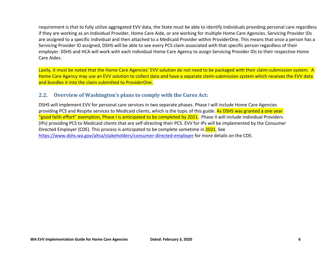requirement is that to fully utilize aggregated EVV data, the State must be able to identify individuals providing personal care regardless if they are working as an Individual Provider, Home Care Aide, or are working for multiple Home Care Agencies. Servicing Provider IDs are assigned to a specific individual and then attached to a Medicaid Provider within ProviderOne. This means that once a person has a Servicing Provider ID assigned, DSHS will be able to see every PCS claim associated with that specific person regardless of their employer. DSHS and HCA will work with each individual Home Care Agency to assign Servicing Provider IDs to their respective Home Care Aides.

Lastly, it must be noted that the Home Care Agencies' EVV solution do not need to be packaged with their claim-submission system. A Home Care Agency may use an EVV solution to collect data and have a separate claim-submission system which receives the EVV data and bundles it into the claim submitted to ProviderOne.

#### <span id="page-5-0"></span>**2.2. Overview of Washington's plans to comply with the Cures Act:**

DSHS will implement EVV for personal care services in two separate phases. Phase I will include Home Care Agencies providing PCS and Respite services to Medicaid clients, which is the topic of this guide. As DSHS was granted a one year "good faith effort" exemption, Phase I is anticipated to be completed by 2021. Phase II will include Individual Providers (IPs) providing PCS to Medicaid clients that are self-directing their PCS. EVV for IPs will be implemented by the Consumer Directed Employer (CDE). This process is anticipated to be complete sometime in 2021. See <https://www.dshs.wa.gov/altsa/stakeholders/consumer-directed-employer> for more details on the CDE.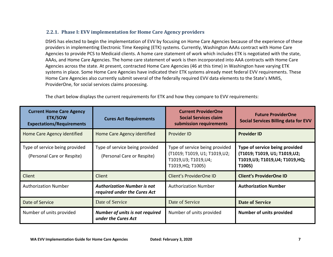#### <span id="page-6-0"></span>**2.2.1. Phase I: EVV implementation for Home Care Agency providers**

DSHS has elected to begin the implementation of EVV by focusing on Home Care Agencies because of the experience of these providers in implementing Electronic Time Keeping (ETK) systems. Currently, Washington AAAs contract with Home Care Agencies to provide PCS to Medicaid clients. A home care statement of work which includes ETK is negotiated with the state, AAAs, and Home Care Agencies. The home care statement of work is then incorporated into AAA contracts with Home Care Agencies across the state. At present, contracted Home Care Agencies (46 at this time) in Washington have varying ETK systems in place. Some Home Care Agencies have indicated their ETK systems already meet federal EVV requirements. These Home Care Agencies also currently submit several of the federally required EVV data elements to the State's MMIS, ProviderOne, for social services claims processing.

The chart below displays the current requirements for ETK and how they compare to EVV requirements:

| <b>Current Home Care Agency</b><br><b>ETK/SOW</b><br><b>Expectations/Requirements</b> | <b>Cures Act Requirements</b>                                      | <b>Current ProviderOne</b><br><b>Social Services claim</b><br>submission requirements                        | <b>Future ProviderOne</b><br><b>Social Services Billing data for EVV</b>                                  |
|---------------------------------------------------------------------------------------|--------------------------------------------------------------------|--------------------------------------------------------------------------------------------------------------|-----------------------------------------------------------------------------------------------------------|
| Home Care Agency identified                                                           | Home Care Agency identified                                        | Provider ID                                                                                                  | <b>Provider ID</b>                                                                                        |
| Type of service being provided<br>(Personal Care or Respite)                          | Type of service being provided<br>(Personal Care or Respite)       | Type of service being provided<br>(T1019; T1019, U1; T1019,U2;<br>T1019, U3; T1019, U4;<br>T1019, HQ; T1005) | Type of service being provided<br>(T1019; T1019, U1; T1019,U2;<br>T1019,U3; T1019,U4; T1019,HQ;<br>T1005) |
| Client                                                                                | Client                                                             | Client's ProviderOne ID                                                                                      | <b>Client's ProviderOne ID</b>                                                                            |
| <b>Authorization Number</b>                                                           | <b>Authorization Number is not</b><br>required under the Cures Act | <b>Authorization Number</b>                                                                                  | <b>Authorization Number</b>                                                                               |
| Date of Service                                                                       | Date of Service                                                    | Date of Service                                                                                              | <b>Date of Service</b>                                                                                    |
| Number of units provided                                                              | <b>Number of units is not required</b><br>under the Cures Act      | Number of units provided                                                                                     | <b>Number of units provided</b>                                                                           |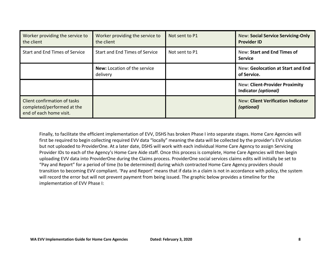| Worker providing the service to<br>the client                                         | Worker providing the service to<br>the client   | Not sent to P1 | <b>New: Social Service Servicing-Only</b><br><b>Provider ID</b> |
|---------------------------------------------------------------------------------------|-------------------------------------------------|----------------|-----------------------------------------------------------------|
| Start and End Times of Service                                                        | Start and End Times of Service                  | Not sent to P1 | New: Start and End Times of<br><b>Service</b>                   |
|                                                                                       | <b>New:</b> Location of the service<br>delivery |                | New: Geolocation at Start and End<br>of Service.                |
|                                                                                       |                                                 |                | <b>New: Client-Provider Proximity</b><br>Indicator (optional)   |
| Client confirmation of tasks<br>completed/performed at the<br>end of each home visit. |                                                 |                | <b>New: Client Verification Indicator</b><br>(optional)         |

Finally, to facilitate the efficient implementation of EVV, DSHS has broken Phase I into separate stages. Home Care Agencies will first be required to begin collecting required EVV data "locally" meaning the data will be collected by the provider's EVV solution but not uploaded to ProviderOne. At a later date, DSHS will work with each individual Home Care Agency to assign Servicing Provider IDs to each of the Agency's Home Care Aide staff. Once this process is complete, Home Care Agencies will then begin uploading EVV data into ProviderOne during the Claims process. ProviderOne social services claims edits will initially be set to "Pay and Report" for a period of time (to be determined) during which contracted Home Care Agency providers should transition to becoming EVV compliant. 'Pay and Report' means that if data in a claim is not in accordance with policy, the system will record the error but will not prevent payment from being issued. The graphic below provides a timeline for the implementation of EVV Phase I: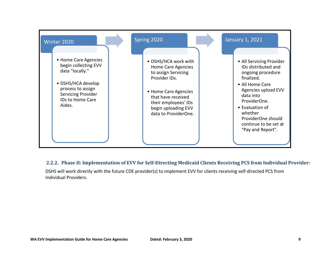

#### <span id="page-8-0"></span>**2.2.2. Phase II: Implementation of EVV for Self-Directing Medicaid Clients Receiving PCS from Individual Provider:**

DSHS will work directly with the future CDE provider(s) to implement EVV for clients receiving self-directed PCS from Individual Providers.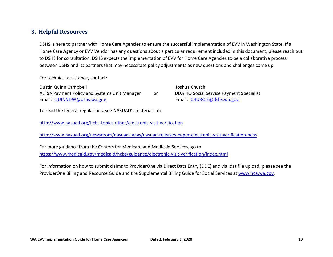#### <span id="page-9-0"></span>**3. Helpful Resources**

DSHS is here to partner with Home Care Agencies to ensure the successful implementation of EVV in Washington State. If a Home Care Agency or EVV Vendor has any questions about a particular requirement included in this document, please reach out to DSHS for consultation. DSHS expects the implementation of EVV for Home Care Agencies to be a collaborative process between DSHS and its partners that may necessitate policy adjustments as new questions and challenges come up.

For technical assistance, contact:

Dustin Quinn Campbell ALTSA Payment Policy and Systems Unit Manager Email: [QUINNDW@dshs.wa.gov](mailto:QUINNDW@dshs.wa.gov) or

Joshua Church DDA HQ Social Service Payment Specialist Email: [CHURCJE@dshs.wa.gov](mailto:CHURCJE@dshs.wa.gov)

To read the federal regulations, see NASUAD's materials at:

<http://www.nasuad.org/hcbs-topics-other/electronic-visit-verification>

<http://www.nasuad.org/newsroom/nasuad-news/nasuad-releases-paper-electronic-visit-verification-hcbs>

For more guidance from the Centers for Medicare and Medicaid Services, go to <https://www.medicaid.gov/medicaid/hcbs/guidance/electronic-visit-verification/index.html>

For information on how to submit claims to ProviderOne via Direct Data Entry (DDE) and via .dat file upload, please see the ProviderOne Billing and Resource Guide and the Supplemental Billing Guide for Social Services at [www.hca.wa.gov.](http://www.hca.wa.gov/)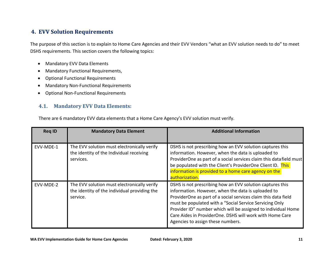## <span id="page-10-0"></span>**4. EVV Solution Requirements**

The purpose of this section is to explain to Home Care Agencies and their EVV Vendors "what an EVV solution needs to do" to meet DSHS requirements. This section covers the following topics:

- Mandatory EVV Data Elements
- Mandatory Functional Requirements,
- Optional Functional Requirements
- Mandatory Non-Functional Requirements
- Optional Non-Functional Requirements

#### <span id="page-10-1"></span>**4.1. Mandatory EVV Data Elements:**

There are 6 mandatory EVV data elements that a Home Care Agency's EVV solution must verify.

| <b>Req ID</b> | <b>Mandatory Data Element</b>                                                                           | <b>Additional Information</b>                                                                                                                                                                                                                                                                                                                                                                                  |
|---------------|---------------------------------------------------------------------------------------------------------|----------------------------------------------------------------------------------------------------------------------------------------------------------------------------------------------------------------------------------------------------------------------------------------------------------------------------------------------------------------------------------------------------------------|
| EVV-MDE-1     | The EVV solution must electronically verify<br>the identity of the Individual receiving<br>services.    | DSHS is not prescribing how an EVV solution captures this<br>information. However, when the data is uploaded to<br>ProviderOne as part of a social services claim this data field must<br>be populated with the Client's ProviderOne Client ID. This<br>information is provided to a home care agency on the<br>authorization.                                                                                 |
| EVV-MDE-2     | The EVV solution must electronically verify<br>the identity of the individual providing the<br>service. | DSHS is not prescribing how an EVV solution captures this<br>information. However, when the data is uploaded to<br>ProviderOne as part of a social services claim this data field<br>must be populated with a "Social Service Servicing Only<br>Provider ID" number which will be assigned to individual Home<br>Care Aides in ProviderOne. DSHS will work with Home Care<br>Agencies to assign these numbers. |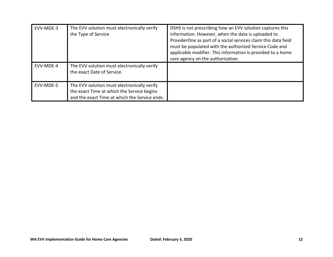| EVV-MDE-3 | The EVV solution must electronically verify<br>the Type of Service                                                                         | DSHS is not prescribing how an EVV solution captures this<br>information. However, when the data is uploaded to<br>ProviderOne as part of a social services claim this data field<br>must be populated with the authorized Service Code and<br>applicable modifier. This information is provided to a home<br>care agency on the authorization. |
|-----------|--------------------------------------------------------------------------------------------------------------------------------------------|-------------------------------------------------------------------------------------------------------------------------------------------------------------------------------------------------------------------------------------------------------------------------------------------------------------------------------------------------|
| EVV-MDE-4 | The EVV solution must electronically verify<br>the exact Date of Service.                                                                  |                                                                                                                                                                                                                                                                                                                                                 |
| EVV-MDE-5 | The EVV solution must electronically verify<br>the exact Time at which the Service begins<br>and the exact Time at which the Service ends. |                                                                                                                                                                                                                                                                                                                                                 |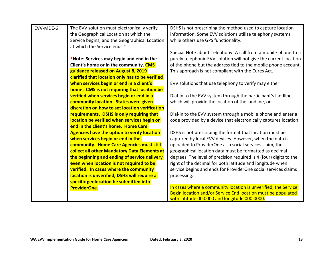| EVV-MDE-6 | The EVV solution must electronically verify        | DSHS is not prescribing the method used to capture location        |
|-----------|----------------------------------------------------|--------------------------------------------------------------------|
|           | the Geographical Location at which the             | information. Some EVV solutions utilize telephony systems          |
|           | Service begins, and the Geographical Location      | while others use GPS functionality.                                |
|           | at which the Service ends.*                        |                                                                    |
|           |                                                    | Special Note about Telephony: A call from a mobile phone to a      |
|           | *Note: Services may begin and end in the           | purely telephonic EVV solution will not give the current location  |
|           | Client's home or in the community. CMS             | of the phone but the address tied to the mobile phone account.     |
|           | guidance released on August 8, 2019                | This approach is not compliant with the Cures Act.                 |
|           | clarified that location only has to be verified    |                                                                    |
|           | when services begin or end in a client's           | EVV solutions that use telephony to verify may either:             |
|           | home. CMS is not requiring that location be        |                                                                    |
|           | verified when services begin or end in a           | Dial-in to the EVV system through the participant's landline,      |
|           | community location. States were given              | which will provide the location of the landline, or                |
|           | discretion on how to set location verification     |                                                                    |
|           | requirements. DSHS is only requiring that          | Dial-in to the EVV system through a mobile phone and enter a       |
|           | location be verified when services begin or        | code provided by a device that electronically captures location.   |
|           | end in the client's home. Home Care                |                                                                    |
|           | <b>Agencies have the option to verify location</b> | DSHS is not prescribing the format that location must be           |
|           | when services begin or end in the                  | captured by local EVV devices. However, when the data is           |
|           | community. Home Care Agencies must still           | uploaded to ProviderOne as a social services claim, the            |
|           | collect all other Mandatory Data Elements at       | geographical location data must be formatted as decimal            |
|           | the beginning and ending of service delivery       | degrees. The level of precision required is 4 (four) digits to the |
|           | even when location is not required to be           | right of the decimal for both latitude and longitude when          |
|           | verified. In cases where the community             | service begins and ends for ProviderOne social services claims     |
|           | location is unverified, DSHS will require a        | processing.                                                        |
|           | specific geolocation be submitted into             |                                                                    |
|           | <b>ProviderOne.</b>                                | In cases where a community location is unverified, the Service     |
|           |                                                    | Begin location and/or Service End location must be populated       |
|           |                                                    | with latitude 00.0000 and longitude 000.0000.                      |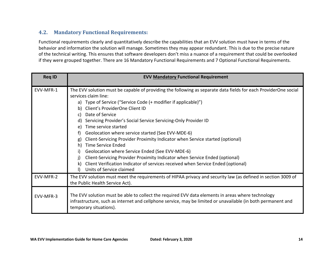## <span id="page-13-0"></span>**4.2. Mandatory Functional Requirements:**

Functional requirements clearly and quantitatively describe the capabilities that an EVV solution must have in terms of the behavior and information the solution will manage. Sometimes they may appear redundant. This is due to the precise nature of the technical writing. This ensures that software developers don't miss a nuance of a requirement that could be overlooked if they were grouped together. There are 16 Mandatory Functional Requirements and 7 Optional Functional Requirements.

| <b>Req ID</b> | <b>EVV Mandatory Functional Requirement</b>                                                                                                                                                                                                                                                                                                                                                                                                                                                                                                                                                                                                                                                                                                                                                                                         |
|---------------|-------------------------------------------------------------------------------------------------------------------------------------------------------------------------------------------------------------------------------------------------------------------------------------------------------------------------------------------------------------------------------------------------------------------------------------------------------------------------------------------------------------------------------------------------------------------------------------------------------------------------------------------------------------------------------------------------------------------------------------------------------------------------------------------------------------------------------------|
| EVV-MFR-1     | The EVV solution must be capable of providing the following as separate data fields for each ProviderOne social<br>services claim line:<br>a) Type of Service ("Service Code (+ modifier if applicable)")<br>Client's ProviderOne Client ID<br>b)<br>Date of Service<br>C)<br>Servicing Provider's Social Service Servicing-Only Provider ID<br>d)<br>Time service started<br>e)<br>Geolocation where service started (See EVV-MDE-6)<br>f)<br>Client-Servicing Provider Proximity Indicator when Service started (optional)<br>g)<br><b>Time Service Ended</b><br>h)<br>Geolocation where Service Ended (See EVV-MDE-6)<br>i)<br>Client-Servicing Provider Proximity Indicator when Service Ended (optional)<br>Client Verification Indicator of services received when Service Ended (optional)<br>k)<br>Units of Service claimed |
| EVV-MFR-2     | The EVV solution must meet the requirements of HIPAA privacy and security law (as defined in section 3009 of<br>the Public Health Service Act).                                                                                                                                                                                                                                                                                                                                                                                                                                                                                                                                                                                                                                                                                     |
| EVV-MFR-3     | The EVV solution must be able to collect the required EVV data elements in areas where technology<br>infrastructure, such as internet and cellphone service, may be limited or unavailable (in both permanent and<br>temporary situations).                                                                                                                                                                                                                                                                                                                                                                                                                                                                                                                                                                                         |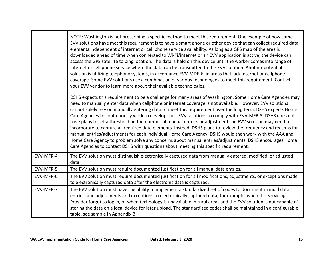|           | NOTE: Washington is not prescribing a specific method to meet this requirement. One example of how some<br>EVV solutions have met this requirement is to have a smart phone or other device that can collect required data<br>elements independent of internet or cell phone service availability. As long as a GPS map of the area is<br>downloaded ahead of time when connected to Wi-Fi/internet or an EVV application is active, the device can<br>access the GPS satellite to ping location. The data is held on this device until the worker comes into range of<br>internet or cell phone service where the data can be transmitted to the EVV solution. Another potential<br>solution is utilizing telephony systems, in accordance EVV-MDE-6, in areas that lack internet or cellphone<br>coverage. Some EVV solutions use a combination of various technologies to meet this requirement. Contact<br>your EVV vendor to learn more about their available technologies.            |
|-----------|---------------------------------------------------------------------------------------------------------------------------------------------------------------------------------------------------------------------------------------------------------------------------------------------------------------------------------------------------------------------------------------------------------------------------------------------------------------------------------------------------------------------------------------------------------------------------------------------------------------------------------------------------------------------------------------------------------------------------------------------------------------------------------------------------------------------------------------------------------------------------------------------------------------------------------------------------------------------------------------------|
|           | DSHS expects this requirement to be a challenge for many areas of Washington. Some Home Care Agencies may<br>need to manually enter data when cellphone or internet coverage is not available. However, EVV solutions<br>cannot solely rely on manually entering data to meet this requirement over the long term. DSHS expects Home<br>Care Agencies to continuously work to develop their EVV solutions to comply with EVV-MFR-3. DSHS does not<br>have plans to set a threshold on the number of manual entries or adjustments an EVV solution may need to<br>incorporate to capture all required data elements. Instead, DSHS plans to review the frequency and reasons for<br>manual entries/adjustments for each individual Home Care Agency. DSHS would then work with the AAA and<br>Home Care Agency to problem solve any concerns about manual entries/adjustments. DSHS encourages Home<br>Care Agencies to contact DSHS with questions about meeting this specific requirement. |
| EVV-MFR-4 | The EVV solution must distinguish electronically captured data from manually entered, modified, or adjusted<br>data.                                                                                                                                                                                                                                                                                                                                                                                                                                                                                                                                                                                                                                                                                                                                                                                                                                                                        |
| EVV-MFR-5 | The EVV solution must require documented justification for all manual data entries.                                                                                                                                                                                                                                                                                                                                                                                                                                                                                                                                                                                                                                                                                                                                                                                                                                                                                                         |
| EVV-MFR-6 | The EVV solution must require documented justification for all modifications, adjustments, or exceptions made<br>to electronically captured data after the electronic data is captured.                                                                                                                                                                                                                                                                                                                                                                                                                                                                                                                                                                                                                                                                                                                                                                                                     |
| EVV-MFR-7 | The EVV solution must have the ability to implement a standardized set of codes to document manual data<br>entries, and adjustments and exceptions to electronically captured data; for example: when the Servicing<br>Provider forgot to log in, or when technology is unavailable in rural areas and the EVV solution is not capable of<br>storing the data on a local device for later upload. The standardized codes shall be maintained in a configurable<br>table, see sample in Appendix B.                                                                                                                                                                                                                                                                                                                                                                                                                                                                                          |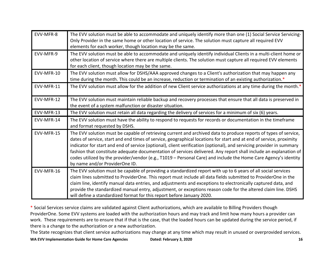| EVV-MFR-8  | The EVV solution must be able to accommodate and uniquely identify more than one (1) Social Service Servicing-<br>Only Provider in the same home or other location of service. The solution must capture all required EVV<br>elements for each worker, though location may be the same.                                                                                                                                                                                                                                                                                                                                                  |
|------------|------------------------------------------------------------------------------------------------------------------------------------------------------------------------------------------------------------------------------------------------------------------------------------------------------------------------------------------------------------------------------------------------------------------------------------------------------------------------------------------------------------------------------------------------------------------------------------------------------------------------------------------|
| EVV-MFR-9  | The EVV solution must be able to accommodate and uniquely identify individual Clients in a multi-client home or<br>other location of service where there are multiple clients. The solution must capture all required EVV elements<br>for each client, though location may be the same.                                                                                                                                                                                                                                                                                                                                                  |
| EVV-MFR-10 | The EVV solution must allow for DSHS/AAA approved changes to a Client's authorization that may happen any<br>time during the month. This could be an increase, reduction or termination of an existing authorization.*                                                                                                                                                                                                                                                                                                                                                                                                                   |
| EVV-MFR-11 | The EVV solution must allow for the addition of new Client service authorizations at any time during the month.*                                                                                                                                                                                                                                                                                                                                                                                                                                                                                                                         |
| EVV-MFR-12 | The EVV solution must maintain reliable backup and recovery processes that ensure that all data is preserved in<br>the event of a system malfunction or disaster situation.                                                                                                                                                                                                                                                                                                                                                                                                                                                              |
| EVV-MFR-13 | The EVV solution must retain all data regarding the delivery of services for a minimum of six (6) years.                                                                                                                                                                                                                                                                                                                                                                                                                                                                                                                                 |
| EVV-MFR-14 | The EVV solution must have the ability to respond to requests for records or documentation in the timeframe<br>and format requested by DSHS.                                                                                                                                                                                                                                                                                                                                                                                                                                                                                             |
| EVV-MFR-15 | The EVV solution must be capable of retrieving current and archived data to produce reports of types of service,<br>dates of service, start and end times of service, geographical locations for start and at end of service, proximity<br>indicator for start and end of service (optional), client verification (optional), and servicing provider in summary<br>fashion that constitute adequate documentation of services delivered. Any report shall include an explanation of<br>codes utilized by the provider/vendor (e.g., T1019 - Personal Care) and include the Home Care Agency's identity<br>by name and/or ProviderOne ID. |
| EVV-MFR-16 | The EVV solution must be capable of providing a standardized report with up to 6 years of all social services<br>claim lines submitted to ProviderOne. This report must include all data fields submitted to ProviderOne in the<br>claim line, identify manual data entries, and adjustments and exceptions to electronically captured data, and<br>provide the standardized manual entry, adjustment, or exceptions reason code for the altered claim line. DSHS<br>will define a standardized format for this report before January 2020.                                                                                              |

\* Social Services service claims are validated against Client authorizations, which are available to Billing Providers though ProviderOne. Some EVV systems are loaded with the authorization hours and may track and limit how many hours a provider can work. These requirements are to ensure that if that is the case, that the loaded hours can be updated during the service period, if there is a change to the authorization or a new authorization.

The State recognizes that client service authorizations may change at any time which may result in unused or overprovided services.

**WA EVV Implementation Guide for Home Care Agencies Dated: February 3, 2020 16**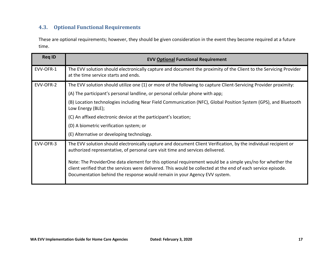## <span id="page-16-0"></span>**4.3. Optional Functional Requirements**

These are optional requirements; however, they should be given consideration in the event they become required at a future time.

| <b>Req ID</b> | <b>EVV Optional Functional Requirement</b>                                                                                                                                                                                                                                                              |
|---------------|---------------------------------------------------------------------------------------------------------------------------------------------------------------------------------------------------------------------------------------------------------------------------------------------------------|
| EVV-OFR-1     | The EVV solution should electronically capture and document the proximity of the Client to the Servicing Provider<br>at the time service starts and ends.                                                                                                                                               |
| EVV-OFR-2     | The EVV solution should utilize one (1) or more of the following to capture Client-Servicing Provider proximity:                                                                                                                                                                                        |
|               | (A) The participant's personal landline, or personal cellular phone with app;                                                                                                                                                                                                                           |
|               | (B) Location technologies including Near Field Communication (NFC), Global Position System (GPS), and Bluetooth<br>Low Energy (BLE);                                                                                                                                                                    |
|               | (C) An affixed electronic device at the participant's location;                                                                                                                                                                                                                                         |
|               | (D) A biometric verification system; or                                                                                                                                                                                                                                                                 |
|               | (E) Alternative or developing technology.                                                                                                                                                                                                                                                               |
| EVV-OFR-3     | The EVV solution should electronically capture and document Client Verification, by the individual recipient or<br>authorized representative, of personal care visit time and services delivered.                                                                                                       |
|               | Note: The ProviderOne data element for this optional requirement would be a simple yes/no for whether the<br>client verified that the services were delivered. This would be collected at the end of each service episode.<br>Documentation behind the response would remain in your Agency EVV system. |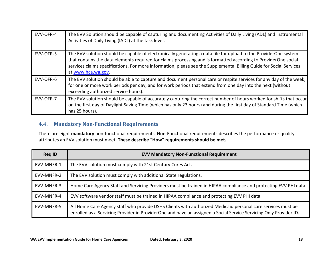| EVV-OFR-4 | The EVV Solution should be capable of capturing and documenting Activities of Daily Living (ADL) and Instrumental<br>Activities of Daily Living (IADL) at the task level.                                                                                                                                                                                                        |
|-----------|----------------------------------------------------------------------------------------------------------------------------------------------------------------------------------------------------------------------------------------------------------------------------------------------------------------------------------------------------------------------------------|
| EVV-OFR-5 | The EVV solution should be capable of electronically generating a data file for upload to the ProviderOne system<br>that contains the data elements required for claims processing and is formatted according to ProviderOne social<br>services claims specifications. For more information, please see the Supplemental Billing Guide for Social Services<br>at www.hca.wa.gov. |
| EVV-OFR-6 | The EVV solution should be able to capture and document personal care or respite services for any day of the week,<br>for one or more work periods per day, and for work periods that extend from one day into the next (without<br>exceeding authorized service hours).                                                                                                         |
| EVV-OFR-7 | The EVV solution should be capable of accurately capturing the correct number of hours worked for shifts that occur<br>on the first day of Daylight Saving Time (which has only 23 hours) and during the first day of Standard Time (which<br>has 25 hours).                                                                                                                     |

## <span id="page-17-0"></span>**4.4. Mandatory Non-Functional Requirements**

There are eight **mandatory** non-functional requirements. Non-Functional requirements describes the performance or quality attributes an EVV solution must meet. **These describe "How" requirements should be met.**

| <b>Reg ID</b> | <b>EVV Mandatory Non-Functional Requirement</b>                                                                                                                                                                                  |
|---------------|----------------------------------------------------------------------------------------------------------------------------------------------------------------------------------------------------------------------------------|
| EVV-MNFR-1    | The EVV solution must comply with 21st Century Cures Act.                                                                                                                                                                        |
| EVV-MNFR-2    | The EVV solution must comply with additional State regulations.                                                                                                                                                                  |
| EVV-MNFR-3    | Home Care Agency Staff and Servicing Providers must be trained in HIPAA compliance and protecting EVV PHI data.                                                                                                                  |
| EVV-MNFR-4    | EVV software vendor staff must be trained in HIPAA compliance and protecting EVV PHI data.                                                                                                                                       |
| EVV-MNFR-5    | All Home Care Agency staff who provide DSHS Clients with authorized Medicaid personal care services must be<br>enrolled as a Servicing Provider in ProviderOne and have an assigned a Social Service Servicing Only Provider ID. |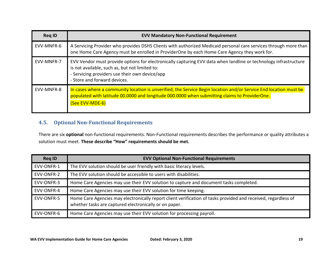| <b>Reg ID</b> | <b>EVV Mandatory Non-Functional Requirement</b>                                                                                                                                                                                                      |  |
|---------------|------------------------------------------------------------------------------------------------------------------------------------------------------------------------------------------------------------------------------------------------------|--|
| EVV-MNFR-6    | A Servicing Provider who provides DSHS Clients with authorized Medicaid personal care services through more than<br>one Home Care Agency must be enrolled in ProviderOne by each Home Care Agency they work for.                                     |  |
| EVV-MNFR-7    | EVV Vendor must provide options for electronically capturing EVV data when landline or technology infrastructure<br>is not available, such as, but not limited to:<br>- Servicing providers use their own device/app<br>- Store and forward devices. |  |
| EVV-MNFR-8    | In cases where a community location is unverified, the Service Begin location and/or Service End location must be<br>populated with latitude 00.0000 and longitude 000.0000 when submitting claims to ProviderOne.<br>(See EVV-MDE-6)                |  |

## <span id="page-18-0"></span>**4.5. Optional Non-Functional Requirements**

There are six **optional** non-functional requirements. Non-Functional requirements describes the performance or quality attributes a solution must meet. **These describe "How" requirements should be met.**

| <b>Req ID</b> | <b>EVV Optional Non-Functional Requirements</b>                                                                                                                          |  |
|---------------|--------------------------------------------------------------------------------------------------------------------------------------------------------------------------|--|
| EVV-ONFR-1    | The EVV solution should be user friendly with basic literacy levels.                                                                                                     |  |
| EVV-ONFR-2    | The EVV solution should be accessible to users with disabilities.                                                                                                        |  |
| EVV-ONFR-3    | Home Care Agencies may use their EVV solution to capture and document tasks completed.                                                                                   |  |
| EVV-ONFR-4    | Home Care Agencies may use their EVV solution for time keeping.                                                                                                          |  |
| EVV-ONFR-5    | Home Care Agencies may electronically report client verification of tasks provided and received, regardless of<br>whether tasks are captured electronically or on paper. |  |
| EVV-ONFR-6    | Home Care Agencies may use their EVV solution for processing payroll.                                                                                                    |  |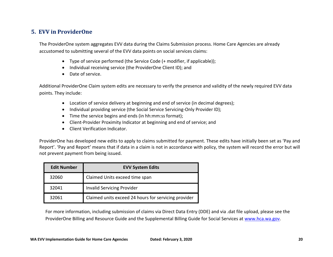## <span id="page-19-0"></span>**5. EVV in ProviderOne**

The ProviderOne system aggregates EVV data during the Claims Submission process. Home Care Agencies are already accustomed to submitting several of the EVV data points on social services claims:

- Type of service performed (the Service Code (+ modifier, if applicable));
- Individual receiving service (the ProviderOne Client ID); and
- Date of service.

Additional ProviderOne Claim system edits are necessary to verify the presence and validity of the newly required EVV data points. They include:

- Location of service delivery at beginning and end of service (in decimal degrees);
- Individual providing service (the Social Service Servicing-Only Provider ID);
- Time the service begins and ends (in hh:mm:ss format);
- Client-Provider Proximity Indicator at beginning and end of service; and
- Client Verification Indicator.

ProviderOne has developed new edits to apply to claims submitted for payment. These edits have initially been set as 'Pay and Report'. 'Pay and Report' means that if data in a claim is not in accordance with policy, the system will record the error but will not prevent payment from being issued.

| <b>Edit Number</b> | <b>EVV System Edits</b>                              |
|--------------------|------------------------------------------------------|
| 32060              | Claimed Units exceed time span                       |
| 32041              | <b>Invalid Servicing Provider</b>                    |
| 32061              | Claimed units exceed 24 hours for servicing provider |

For more information, including submission of claims via Direct Data Entry (DDE) and via .dat file upload, please see the ProviderOne Billing and Resource Guide and the Supplemental Billing Guide for Social Services at [www.hca.wa.gov.](http://www.hca.wa.gov/)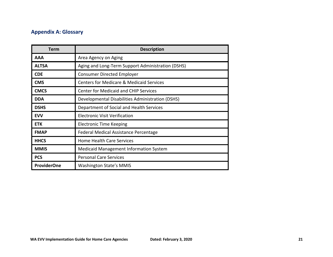## <span id="page-20-0"></span>**Appendix A: Glossary**

| <b>Term</b>        | <b>Description</b>                                  |
|--------------------|-----------------------------------------------------|
| AAA                | Area Agency on Aging                                |
| <b>ALTSA</b>       | Aging and Long-Term Support Administration (DSHS)   |
| <b>CDE</b>         | <b>Consumer Directed Employer</b>                   |
| <b>CMS</b>         | <b>Centers for Medicare &amp; Medicaid Services</b> |
| <b>CMCS</b>        | <b>Center for Medicaid and CHIP Services</b>        |
| <b>DDA</b>         | Developmental Disabilities Administration (DSHS)    |
| <b>DSHS</b>        | Department of Social and Health Services            |
| <b>EVV</b>         | <b>Electronic Visit Verification</b>                |
| <b>ETK</b>         | <b>Electronic Time Keeping</b>                      |
| <b>FMAP</b>        | Federal Medical Assistance Percentage               |
| <b>HHCS</b>        | Home Health Care Services                           |
| <b>MMIS</b>        | <b>Medicaid Management Information System</b>       |
| <b>PCS</b>         | <b>Personal Care Services</b>                       |
| <b>ProviderOne</b> | <b>Washington State's MMIS</b>                      |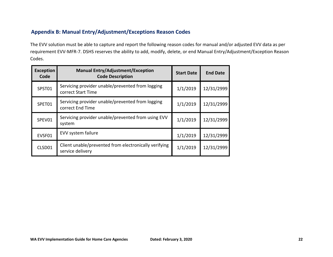## <span id="page-21-0"></span>**Appendix B: Manual Entry/Adjustment/Exceptions Reason Codes**

The EVV solution must be able to capture and report the following reason codes for manual and/or adjusted EVV data as per requirement EVV-MFR-7. DSHS reserves the ability to add, modify, delete, or end Manual Entry/Adjustment/Exception Reason Codes.

| <b>Exception</b><br>Code | <b>Manual Entry/Adjustment/Exception</b><br><b>Code Description</b>       | <b>Start Date</b> | <b>End Date</b> |
|--------------------------|---------------------------------------------------------------------------|-------------------|-----------------|
| SPST01                   | Servicing provider unable/prevented from logging<br>correct Start Time    | 1/1/2019          | 12/31/2999      |
| SPET01                   | Servicing provider unable/prevented from logging<br>correct End Time      | 1/1/2019          | 12/31/2999      |
| SPEV01                   | Servicing provider unable/prevented from using EVV<br>system              | 1/1/2019          | 12/31/2999      |
| EVSF01                   | EVV system failure                                                        | 1/1/2019          | 12/31/2999      |
| CLSD01                   | Client unable/prevented from electronically verifying<br>service delivery | 1/1/2019          | 12/31/2999      |